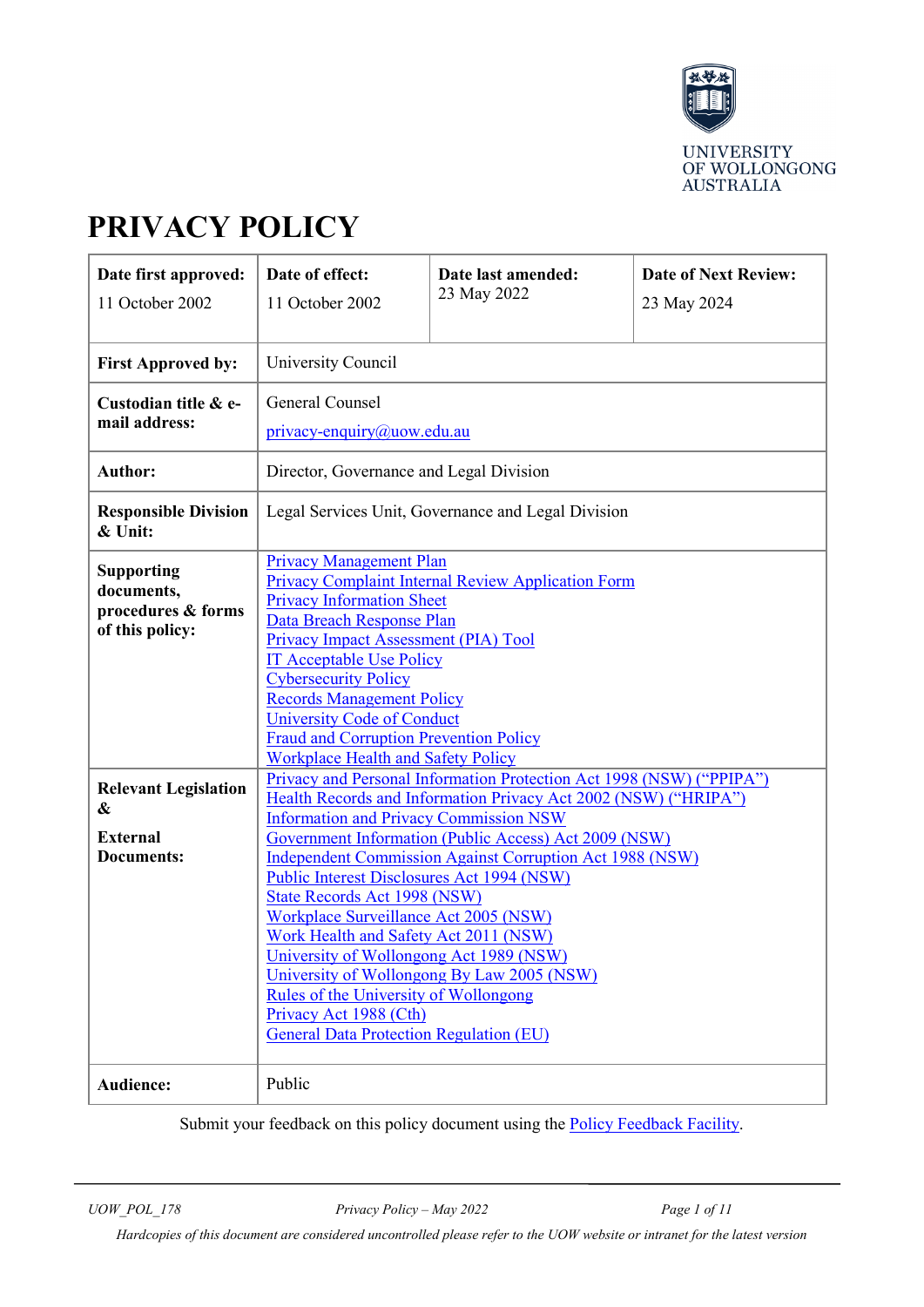

# **PRIVACY POLICY**

| Date first approved:<br>11 October 2002                                  | Date of effect:<br>11 October 2002                                                                                                                                                                                                                                                                                                                                                                                                                                                                            | Date last amended:<br>23 May 2022 | <b>Date of Next Review:</b><br>23 May 2024 |  |  |
|--------------------------------------------------------------------------|---------------------------------------------------------------------------------------------------------------------------------------------------------------------------------------------------------------------------------------------------------------------------------------------------------------------------------------------------------------------------------------------------------------------------------------------------------------------------------------------------------------|-----------------------------------|--------------------------------------------|--|--|
| <b>First Approved by:</b>                                                | University Council                                                                                                                                                                                                                                                                                                                                                                                                                                                                                            |                                   |                                            |  |  |
| Custodian title & e-<br>mail address:                                    | General Counsel<br>privacy-enquiry@uow.edu.au                                                                                                                                                                                                                                                                                                                                                                                                                                                                 |                                   |                                            |  |  |
| <b>Author:</b>                                                           | Director, Governance and Legal Division                                                                                                                                                                                                                                                                                                                                                                                                                                                                       |                                   |                                            |  |  |
| <b>Responsible Division</b><br>& Unit:                                   | Legal Services Unit, Governance and Legal Division                                                                                                                                                                                                                                                                                                                                                                                                                                                            |                                   |                                            |  |  |
| <b>Supporting</b><br>documents,<br>procedures & forms<br>of this policy: | <b>Privacy Management Plan</b><br>Privacy Complaint Internal Review Application Form<br><b>Privacy Information Sheet</b><br>Data Breach Response Plan<br><b>Privacy Impact Assessment (PIA) Tool</b><br><b>IT Acceptable Use Policy</b><br><b>Cybersecurity Policy</b><br><b>Records Management Policy</b><br><b>University Code of Conduct</b><br><b>Fraud and Corruption Prevention Policy</b><br><b>Workplace Health and Safety Policy</b>                                                                 |                                   |                                            |  |  |
| <b>Relevant Legislation</b><br>&                                         | Privacy and Personal Information Protection Act 1998 (NSW) ("PPIPA")<br>Health Records and Information Privacy Act 2002 (NSW) ("HRIPA")<br><b>Information and Privacy Commission NSW</b>                                                                                                                                                                                                                                                                                                                      |                                   |                                            |  |  |
| <b>External</b><br><b>Documents:</b>                                     | Government Information (Public Access) Act 2009 (NSW)<br><b>Independent Commission Against Corruption Act 1988 (NSW)</b><br><b>Public Interest Disclosures Act 1994 (NSW)</b><br>State Records Act 1998 (NSW)<br>Workplace Surveillance Act 2005 (NSW)<br>Work Health and Safety Act 2011 (NSW)<br>University of Wollongong Act 1989 (NSW)<br>University of Wollongong By Law 2005 (NSW)<br>Rules of the University of Wollongong<br>Privacy Act 1988 (Cth)<br><b>General Data Protection Regulation (EU)</b> |                                   |                                            |  |  |
| Audience:                                                                | Public                                                                                                                                                                                                                                                                                                                                                                                                                                                                                                        |                                   |                                            |  |  |

Submit your feedback on this policy document using the **Policy Feedback Facility**.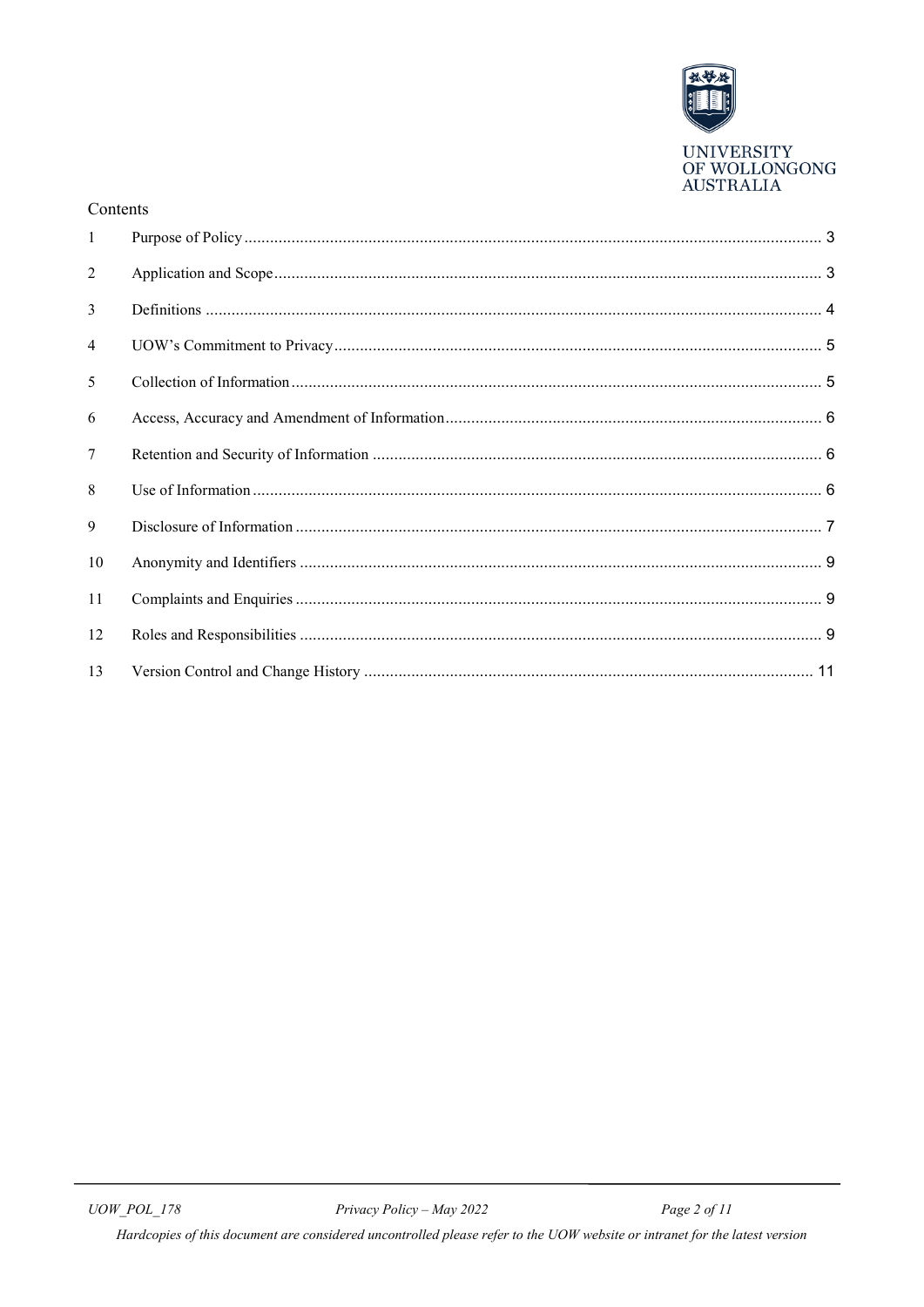

**AUSTRALIA** 

| Contents       |  |
|----------------|--|
| $\mathbf{1}$   |  |
| $\overline{2}$ |  |
| 3              |  |
| $\overline{4}$ |  |
| 5              |  |
| 6              |  |
| $\tau$         |  |
| 8              |  |
| 9              |  |
| 10             |  |
| 11             |  |
| 12             |  |
| 13             |  |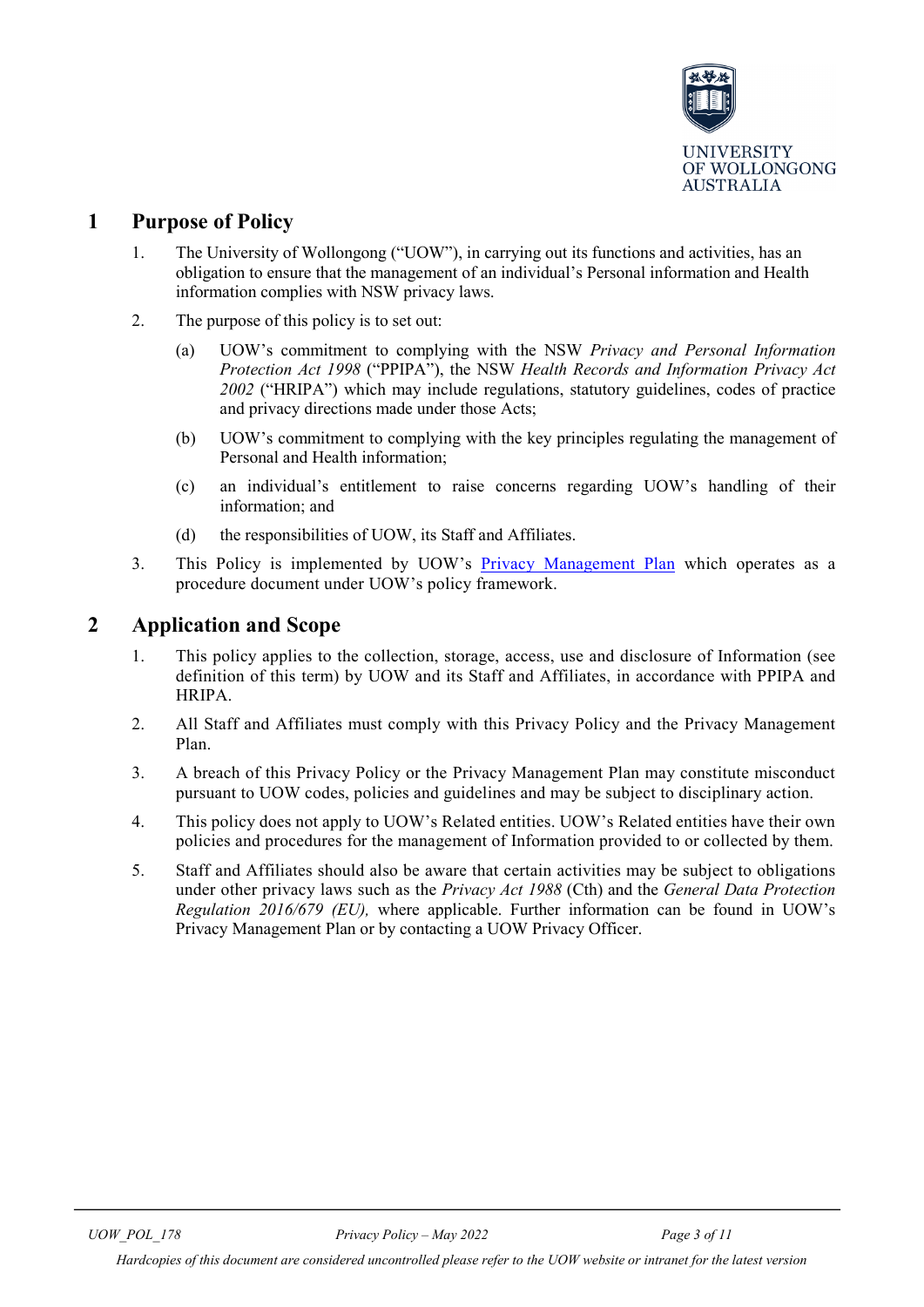

# <span id="page-2-0"></span>**1 Purpose of Policy**

- 1. The University of Wollongong ("UOW"), in carrying out its functions and activities, has an obligation to ensure that the management of an individual's Personal information and Health information complies with NSW privacy laws.
- 2. The purpose of this policy is to set out:
	- (a) UOW's commitment to complying with the NSW *Privacy and Personal Information Protection Act 1998* ("PPIPA"), the NSW *Health Records and Information Privacy Act 2002* ("HRIPA") which may include regulations, statutory guidelines, codes of practice and privacy directions made under those Acts;
	- (b) UOW's commitment to complying with the key principles regulating the management of Personal and Health information;
	- (c) an individual's entitlement to raise concerns regarding UOW's handling of their information; and
	- (d) the responsibilities of UOW, its Staff and Affiliates.
- 3. This Policy is implemented by UOW's [Privacy Management Plan](https://documents.uow.edu.au/content/groups/public/@web/@gov/documents/doc/uow139886.pdf) which operates as a procedure document under UOW's policy framework.

# <span id="page-2-1"></span>**2 Application and Scope**

- 1. This policy applies to the collection, storage, access, use and disclosure of Information (see definition of this term) by UOW and its Staff and Affiliates, in accordance with PPIPA and HRIPA.
- 2. All Staff and Affiliates must comply with this Privacy Policy and the Privacy Management Plan.
- 3. A breach of this Privacy Policy or the Privacy Management Plan may constitute misconduct pursuant to UOW codes, policies and guidelines and may be subject to disciplinary action.
- 4. This policy does not apply to UOW's Related entities. UOW's Related entities have their own policies and procedures for the management of Information provided to or collected by them.
- 5. Staff and Affiliates should also be aware that certain activities may be subject to obligations under other privacy laws such as the *Privacy Act 1988* (Cth) and the *General Data Protection Regulation 2016/679 (EU),* where applicable. Further information can be found in UOW's Privacy Management Plan or by contacting a UOW Privacy Officer.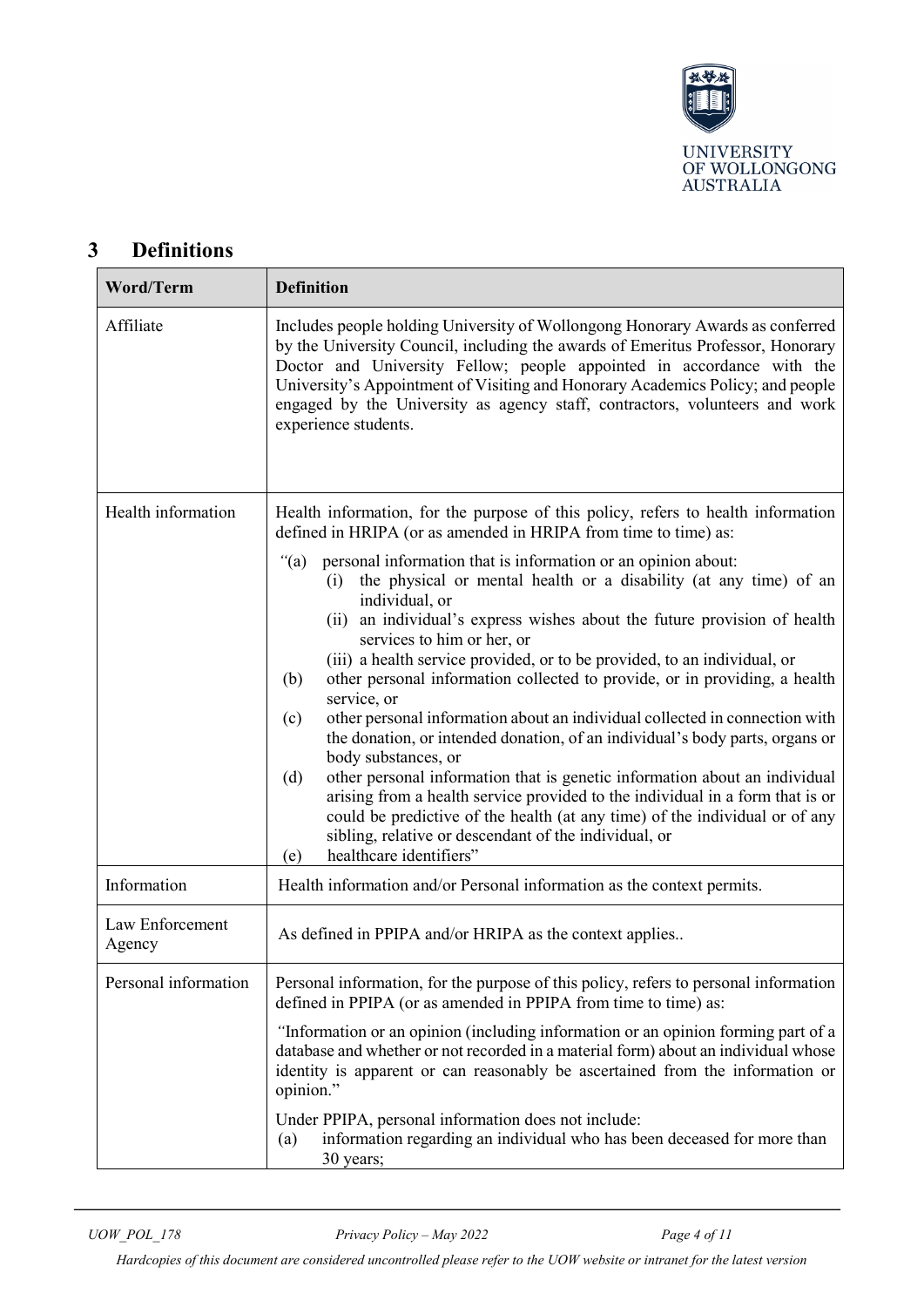

# <span id="page-3-0"></span>**3 Definitions**

| <b>Word/Term</b>          | <b>Definition</b>                                                                                                                                                                                                                                                                                                                                                                                                                  |  |  |
|---------------------------|------------------------------------------------------------------------------------------------------------------------------------------------------------------------------------------------------------------------------------------------------------------------------------------------------------------------------------------------------------------------------------------------------------------------------------|--|--|
| Affiliate                 | Includes people holding University of Wollongong Honorary Awards as conferred<br>by the University Council, including the awards of Emeritus Professor, Honorary<br>Doctor and University Fellow; people appointed in accordance with the<br>University's Appointment of Visiting and Honorary Academics Policy; and people<br>engaged by the University as agency staff, contractors, volunteers and work<br>experience students. |  |  |
| Health information        | Health information, for the purpose of this policy, refers to health information<br>defined in HRIPA (or as amended in HRIPA from time to time) as:                                                                                                                                                                                                                                                                                |  |  |
|                           | " $(a)$<br>personal information that is information or an opinion about:<br>the physical or mental health or a disability (at any time) of an<br>(i)<br>individual, or<br>(ii) an individual's express wishes about the future provision of health<br>services to him or her, or<br>(iii) a health service provided, or to be provided, to an individual, or                                                                       |  |  |
|                           | other personal information collected to provide, or in providing, a health<br>(b)<br>service, or<br>other personal information about an individual collected in connection with<br>(c)<br>the donation, or intended donation, of an individual's body parts, organs or                                                                                                                                                             |  |  |
|                           | body substances, or<br>other personal information that is genetic information about an individual<br>(d)<br>arising from a health service provided to the individual in a form that is or<br>could be predictive of the health (at any time) of the individual or of any<br>sibling, relative or descendant of the individual, or<br>healthcare identifiers"<br>(e)                                                                |  |  |
| Information               | Health information and/or Personal information as the context permits.                                                                                                                                                                                                                                                                                                                                                             |  |  |
| Law Enforcement<br>Agency | As defined in PPIPA and/or HRIPA as the context applies                                                                                                                                                                                                                                                                                                                                                                            |  |  |
| Personal information      | Personal information, for the purpose of this policy, refers to personal information<br>defined in PPIPA (or as amended in PPIPA from time to time) as:                                                                                                                                                                                                                                                                            |  |  |
|                           | "Information or an opinion (including information or an opinion forming part of a<br>database and whether or not recorded in a material form) about an individual whose<br>identity is apparent or can reasonably be ascertained from the information or<br>opinion."                                                                                                                                                              |  |  |
|                           | Under PPIPA, personal information does not include:<br>information regarding an individual who has been deceased for more than<br>(a)<br>30 years;                                                                                                                                                                                                                                                                                 |  |  |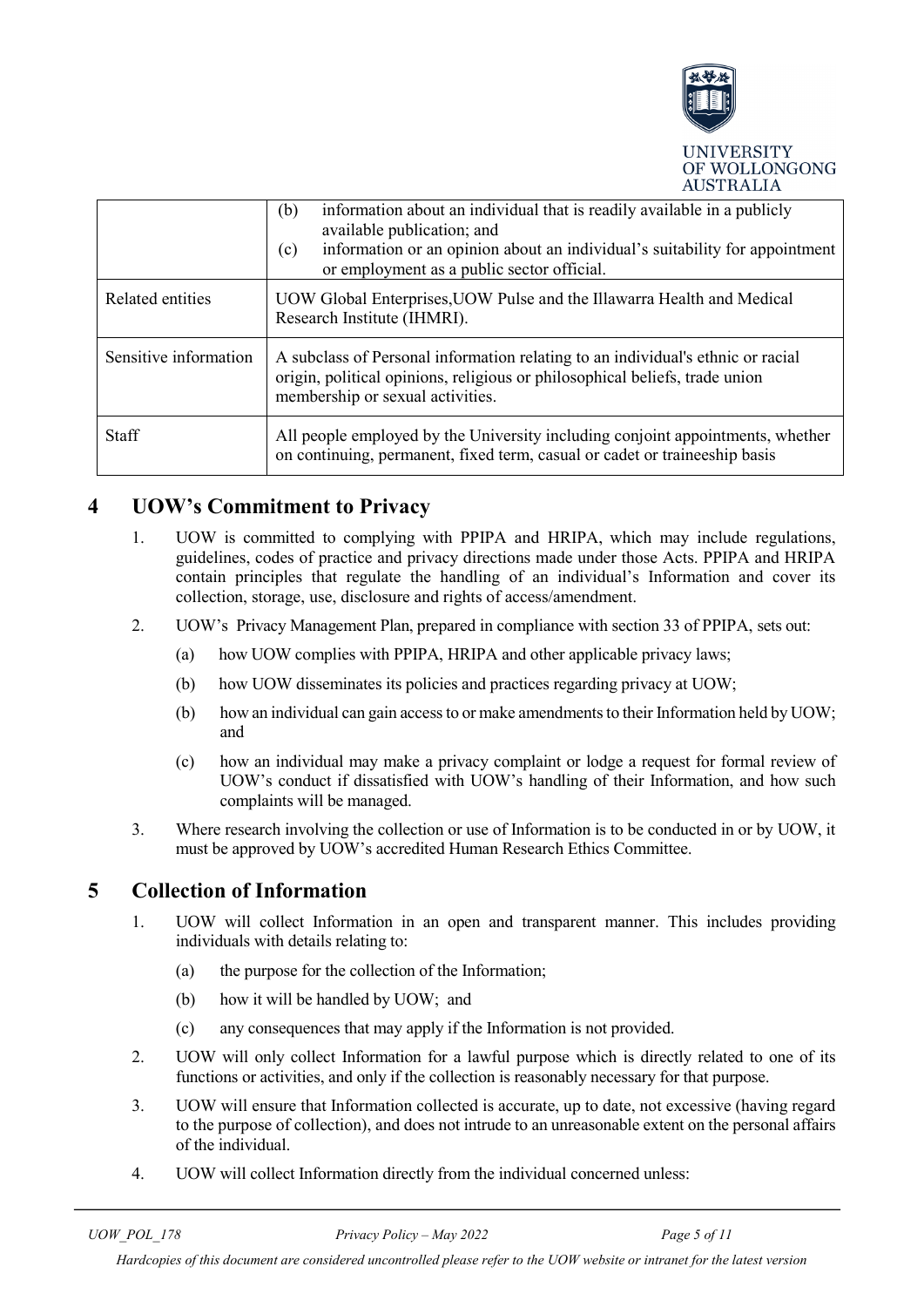

|                       | information about an individual that is readily available in a publicly<br>(b)<br>available publication; and<br>information or an opinion about an individual's suitability for appointment<br>(c)<br>or employment as a public sector official. |  |
|-----------------------|--------------------------------------------------------------------------------------------------------------------------------------------------------------------------------------------------------------------------------------------------|--|
| Related entities      | UOW Global Enterprises, UOW Pulse and the Illawarra Health and Medical<br>Research Institute (IHMRI).                                                                                                                                            |  |
| Sensitive information | A subclass of Personal information relating to an individual's ethnic or racial<br>origin, political opinions, religious or philosophical beliefs, trade union<br>membership or sexual activities.                                               |  |
| <b>Staff</b>          | All people employed by the University including conjoint appointments, whether<br>on continuing, permanent, fixed term, casual or cadet or traineeship basis                                                                                     |  |

# <span id="page-4-0"></span>**4 UOW's Commitment to Privacy**

- 1. UOW is committed to complying with PPIPA and HRIPA, which may include regulations, guidelines, codes of practice and privacy directions made under those Acts. PPIPA and HRIPA contain principles that regulate the handling of an individual's Information and cover its collection, storage, use, disclosure and rights of access/amendment.
- 2. UOW's Privacy Management Plan, prepared in compliance with section 33 of PPIPA, sets out:
	- (a) how UOW complies with PPIPA, HRIPA and other applicable privacy laws;
	- (b) how UOW disseminates its policies and practices regarding privacy at UOW;
	- (b) how an individual can gain access to or make amendments to their Information held by UOW; and
	- (c) how an individual may make a privacy complaint or lodge a request for formal review of UOW's conduct if dissatisfied with UOW's handling of their Information, and how such complaints will be managed.
- 3. Where research involving the collection or use of Information is to be conducted in or by UOW, it must be approved by UOW's accredited Human Research Ethics Committee.

# <span id="page-4-1"></span>**5 Collection of Information**

- 1. UOW will collect Information in an open and transparent manner. This includes providing individuals with details relating to:
	- (a) the purpose for the collection of the Information;
	- (b) how it will be handled by UOW; and
	- (c) any consequences that may apply if the Information is not provided.
- 2. UOW will only collect Information for a lawful purpose which is directly related to one of its functions or activities, and only if the collection is reasonably necessary for that purpose.
- 3. UOW will ensure that Information collected is accurate, up to date, not excessive (having regard to the purpose of collection), and does not intrude to an unreasonable extent on the personal affairs of the individual.
- 4. UOW will collect Information directly from the individual concerned unless:

*Hardcopies of this document are considered uncontrolled please refer to the UOW website or intranet for the latest version*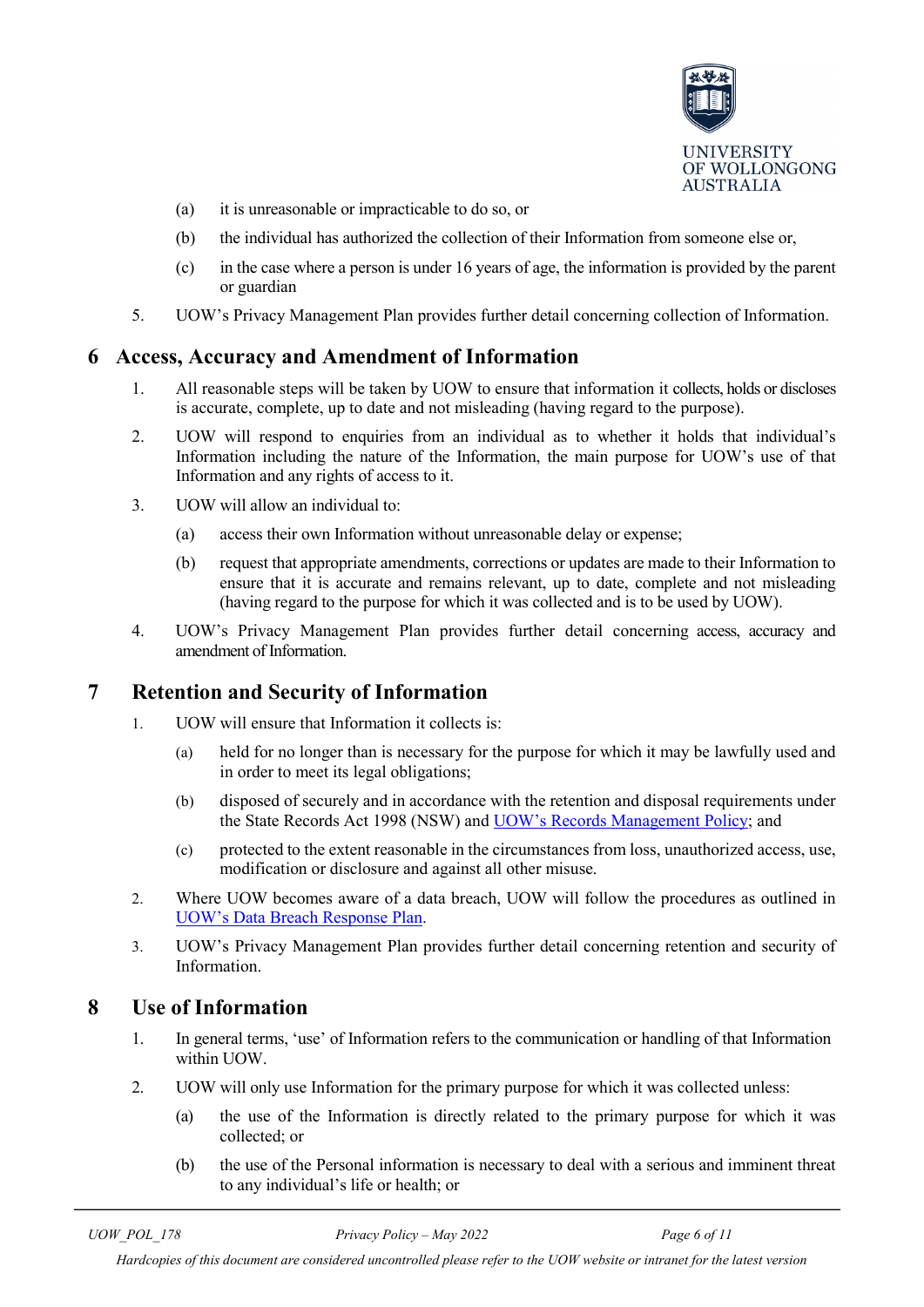

- (a) it is unreasonable or impracticable to do so, or
- (b) the individual has authorized the collection of their Information from someone else or,
- (c) in the case where a person is under 16 years of age, the information is provided by the parent or guardian
- 5. UOW's Privacy Management Plan provides further detail concerning collection of Information.

#### <span id="page-5-0"></span>**6 Access, Accuracy and Amendment of Information**

- 1. All reasonable steps will be taken by UOW to ensure that information it collects, holds or discloses is accurate, complete, up to date and not misleading (having regard to the purpose).
- 2. UOW will respond to enquiries from an individual as to whether it holds that individual's Information including the nature of the Information, the main purpose for UOW's use of that Information and any rights of access to it.
- 3. UOW will allow an individual to:
	- (a) access their own Information without unreasonable delay or expense;
	- (b) request that appropriate amendments, corrections or updates are made to their Information to ensure that it is accurate and remains relevant, up to date, complete and not misleading (having regard to the purpose for which it was collected and is to be used by UOW).
- 4. UOW's Privacy Management Plan provides further detail concerning access, accuracy and amendment of Information.

### <span id="page-5-1"></span>**7 Retention and Security of Information**

- 1. UOW will ensure that Information it collects is:
	- (a) held for no longer than is necessary for the purpose for which it may be lawfully used and in order to meet its legal obligations;
	- (b) disposed of securely and in accordance with the retention and disposal requirements under the State Records Act 1998 (NSW) and [UOW's Records Management Policy;](https://documents.uow.edu.au/content/groups/public/@web/@gov/documents/doc/uow039584.pdf) and
	- (c) protected to the extent reasonable in the circumstances from loss, unauthorized access, use, modification or disclosure and against all other misuse.
- 2. Where UOW becomes aware of a data breach, UOW will follow the procedures as outlined in [UOW's Data Breach Response Plan.](https://intranet.uow.edu.au/legal/infosheets/index.html?)
- 3. UOW's Privacy Management Plan provides further detail concerning retention and security of Information.

### <span id="page-5-2"></span>**8 Use of Information**

- 1. In general terms, 'use' of Information refers to the communication or handling of that Information within UOW.
- 2. UOW will only use Information for the primary purpose for which it was collected unless:
	- (a) the use of the Information is directly related to the primary purpose for which it was collected; or
	- (b) the use of the Personal information is necessary to deal with a serious and imminent threat to any individual's life or health; or

*UOW\_POL\_178 Privacy Policy – May 2022 Page 6 of 11*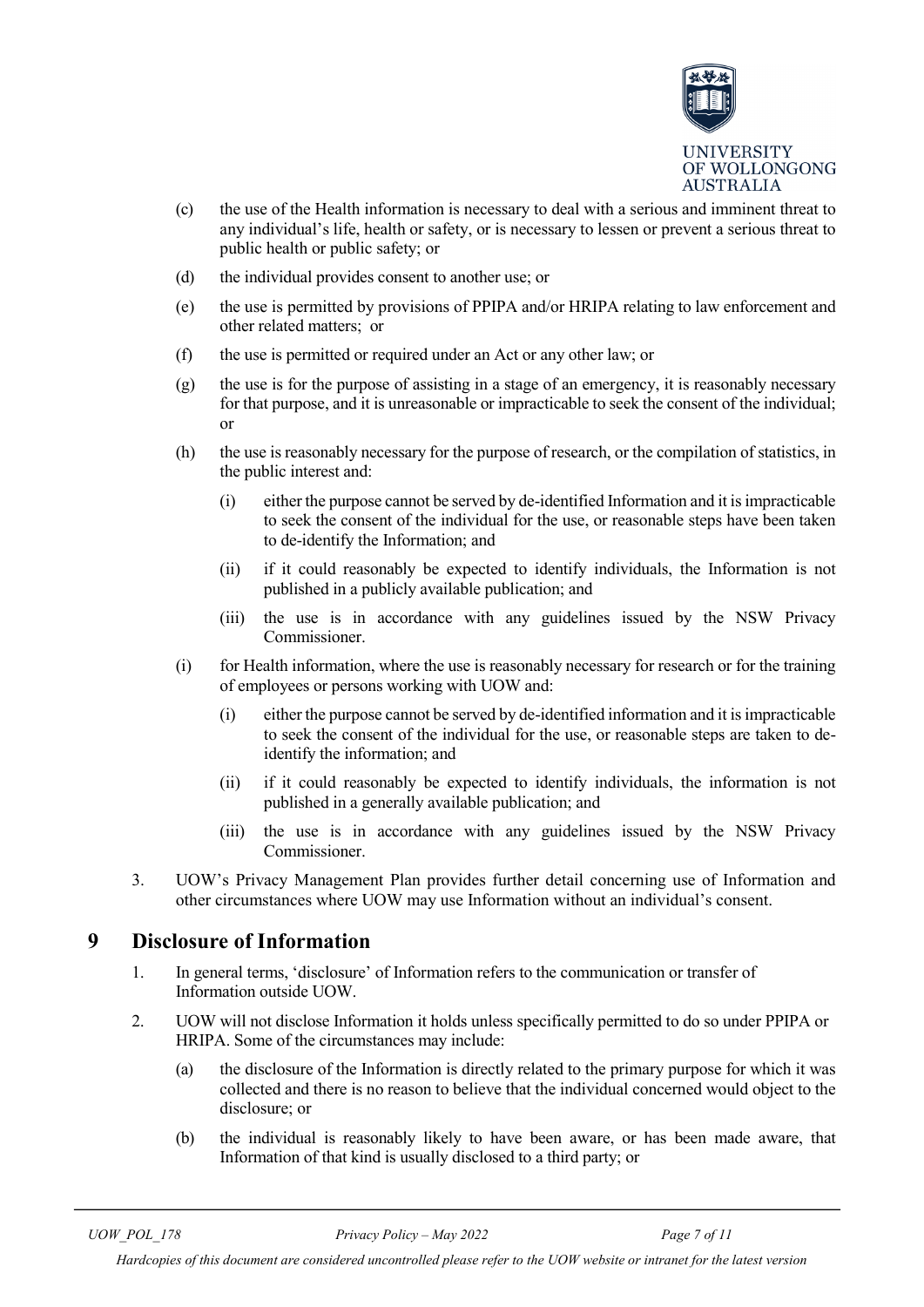

- (c) the use of the Health information is necessary to deal with a serious and imminent threat to any individual's life, health or safety, or is necessary to lessen or prevent a serious threat to public health or public safety; or
- (d) the individual provides consent to another use; or
- (e) the use is permitted by provisions of PPIPA and/or HRIPA relating to law enforcement and other related matters; or
- (f) the use is permitted or required under an Act or any other law; or
- (g) the use is for the purpose of assisting in a stage of an emergency, it is reasonably necessary for that purpose, and it is unreasonable or impracticable to seek the consent of the individual; or
- (h) the use is reasonably necessary for the purpose of research, or the compilation of statistics, in the public interest and:
	- (i) either the purpose cannot be served by de-identified Information and it is impracticable to seek the consent of the individual for the use, or reasonable steps have been taken to de-identify the Information; and
	- (ii) if it could reasonably be expected to identify individuals, the Information is not published in a publicly available publication; and
	- (iii) the use is in accordance with any guidelines issued by the NSW Privacy Commissioner.
- (i) for Health information, where the use is reasonably necessary for research or for the training of employees or persons working with UOW and:
	- (i) either the purpose cannot be served by de-identified information and it is impracticable to seek the consent of the individual for the use, or reasonable steps are taken to deidentify the information; and
	- (ii) if it could reasonably be expected to identify individuals, the information is not published in a generally available publication; and
	- (iii) the use is in accordance with any guidelines issued by the NSW Privacy Commissioner.
- 3. UOW's Privacy Management Plan provides further detail concerning use of Information and other circumstances where UOW may use Information without an individual's consent.

# <span id="page-6-0"></span>**9 Disclosure of Information**

- 1. In general terms, 'disclosure' of Information refers to the communication or transfer of Information outside UOW.
- 2. UOW will not disclose Information it holds unless specifically permitted to do so under PPIPA or HRIPA. Some of the circumstances may include:
	- (a) the disclosure of the Information is directly related to the primary purpose for which it was collected and there is no reason to believe that the individual concerned would object to the disclosure; or
	- (b) the individual is reasonably likely to have been aware, or has been made aware, that Information of that kind is usually disclosed to a third party; or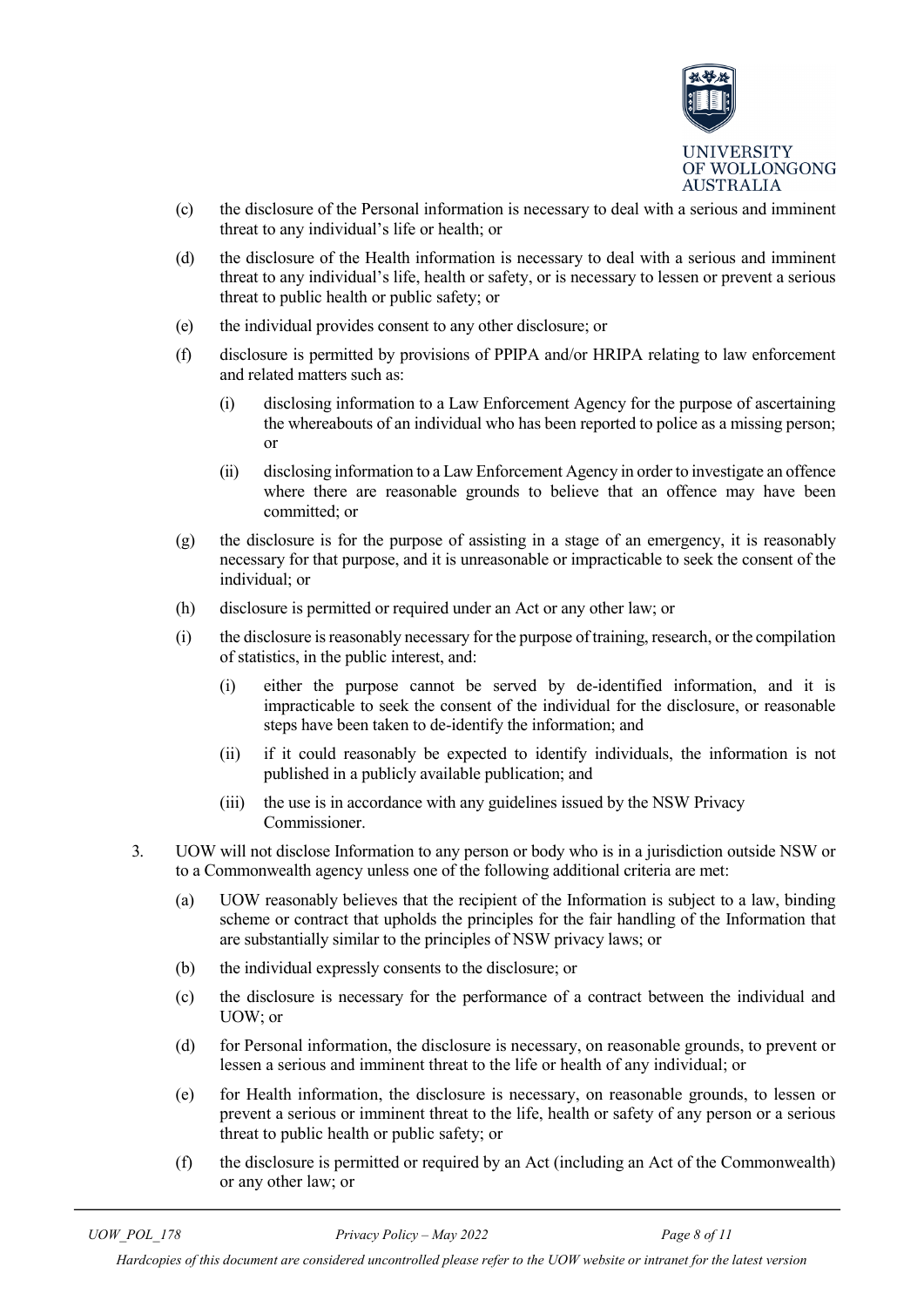

- (c) the disclosure of the Personal information is necessary to deal with a serious and imminent threat to any individual's life or health; or
- (d) the disclosure of the Health information is necessary to deal with a serious and imminent threat to any individual's life, health or safety, or is necessary to lessen or prevent a serious threat to public health or public safety; or
- (e) the individual provides consent to any other disclosure; or
- (f) disclosure is permitted by provisions of PPIPA and/or HRIPA relating to law enforcement and related matters such as:
	- (i) disclosing information to a Law Enforcement Agency for the purpose of ascertaining the whereabouts of an individual who has been reported to police as a missing person; or
	- (ii) disclosing information to a Law Enforcement Agency in order to investigate an offence where there are reasonable grounds to believe that an offence may have been committed; or
- $(g)$  the disclosure is for the purpose of assisting in a stage of an emergency, it is reasonably necessary for that purpose, and it is unreasonable or impracticable to seek the consent of the individual; or
- (h) disclosure is permitted or required under an Act or any other law; or
- (i) the disclosure is reasonably necessary for the purpose of training, research, or the compilation of statistics, in the public interest, and:
	- (i) either the purpose cannot be served by de-identified information, and it is impracticable to seek the consent of the individual for the disclosure, or reasonable steps have been taken to de-identify the information; and
	- (ii) if it could reasonably be expected to identify individuals, the information is not published in a publicly available publication; and
	- (iii) the use is in accordance with any guidelines issued by the NSW Privacy Commissioner.
- 3. UOW will not disclose Information to any person or body who is in a jurisdiction outside NSW or to a Commonwealth agency unless one of the following additional criteria are met:
	- (a) UOW reasonably believes that the recipient of the Information is subject to a law, binding scheme or contract that upholds the principles for the fair handling of the Information that are substantially similar to the principles of NSW privacy laws; or
	- (b) the individual expressly consents to the disclosure; or
	- (c) the disclosure is necessary for the performance of a contract between the individual and UOW; or
	- (d) for Personal information, the disclosure is necessary, on reasonable grounds, to prevent or lessen a serious and imminent threat to the life or health of any individual; or
	- (e) for Health information, the disclosure is necessary, on reasonable grounds, to lessen or prevent a serious or imminent threat to the life, health or safety of any person or a serious threat to public health or public safety; or
	- (f) the disclosure is permitted or required by an Act (including an Act of the Commonwealth) or any other law; or

*Hardcopies of this document are considered uncontrolled please refer to the UOW website or intranet for the latest version*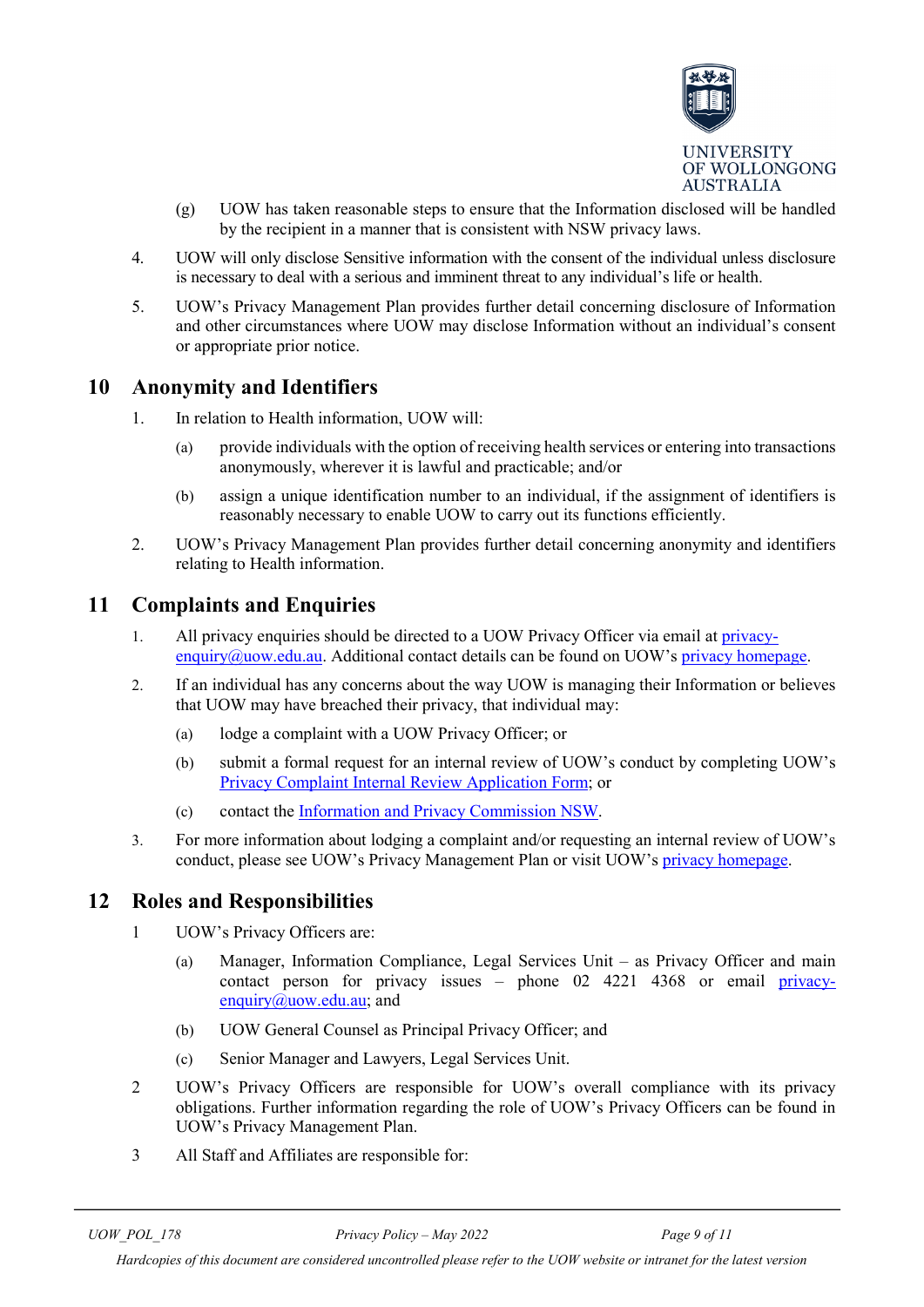

- (g) UOW has taken reasonable steps to ensure that the Information disclosed will be handled by the recipient in a manner that is consistent with NSW privacy laws.
- 4. UOW will only disclose Sensitive information with the consent of the individual unless disclosure is necessary to deal with a serious and imminent threat to any individual's life or health.
- 5. UOW's Privacy Management Plan provides further detail concerning disclosure of Information and other circumstances where UOW may disclose Information without an individual's consent or appropriate prior notice.

### <span id="page-8-0"></span>**10 Anonymity and Identifiers**

- 1. In relation to Health information, UOW will:
	- (a) provide individuals with the option of receiving health services or entering into transactions anonymously, wherever it is lawful and practicable; and/or
	- (b) assign a unique identification number to an individual, if the assignment of identifiers is reasonably necessary to enable UOW to carry out its functions efficiently.
- 2. UOW's Privacy Management Plan provides further detail concerning anonymity and identifiers relating to Health information.

#### <span id="page-8-1"></span>**11 Complaints and Enquiries**

- 1. All privacy enquiries should be directed to a UOW Privacy Officer via email at [privacy](mailto:privacy-enquiry@uow.edu.au)[enquiry@uow.edu.au.](mailto:privacy-enquiry@uow.edu.au) Additional contact details can be found on UOW's [privacy homepage.](http://www.uow.edu.au/about/privacy/index.html)
- 2. If an individual has any concerns about the way UOW is managing their Information or believes that UOW may have breached their privacy, that individual may:
	- (a) lodge a complaint with a UOW Privacy Officer; or
	- (b) submit a formal request for an internal review of UOW's conduct by completing UOW's [Privacy Complaint Internal Review Application Form;](https://documents.uow.edu.au/content/groups/public/@web/@fin/@lcu/documents/doc/uow022144.pdf) or
	- (c) contact the [Information and Privacy Commission NSW.](http://www.privacy.nsw.gov.au/Lawlink/privacynsw/ll_pnsw.nsf/pages/privacy_index)
- 3. For more information about lodging a complaint and/or requesting an internal review of UOW's conduct, please see UOW's Privacy Management Plan or visit UOW's [privacy homepage.](http://www.uow.edu.au/about/privacy/index.html)

### <span id="page-8-2"></span>**12 Roles and Responsibilities**

- 1 UOW's Privacy Officers are:
	- (a) Manager, Information Compliance, Legal Services Unit as Privacy Officer and main contact person for privacy issues – phone 02 4221 4368 or email [privacy](mailto:privacy-enquiry@uow.edu.au)[enquiry@uow.edu.au;](mailto:privacy-enquiry@uow.edu.au) and
	- (b) UOW General Counsel as Principal Privacy Officer; and
	- (c) Senior Manager and Lawyers, Legal Services Unit.
- 2 UOW's Privacy Officers are responsible for UOW's overall compliance with its privacy obligations. Further information regarding the role of UOW's Privacy Officers can be found in UOW's Privacy Management Plan.
- 3 All Staff and Affiliates are responsible for: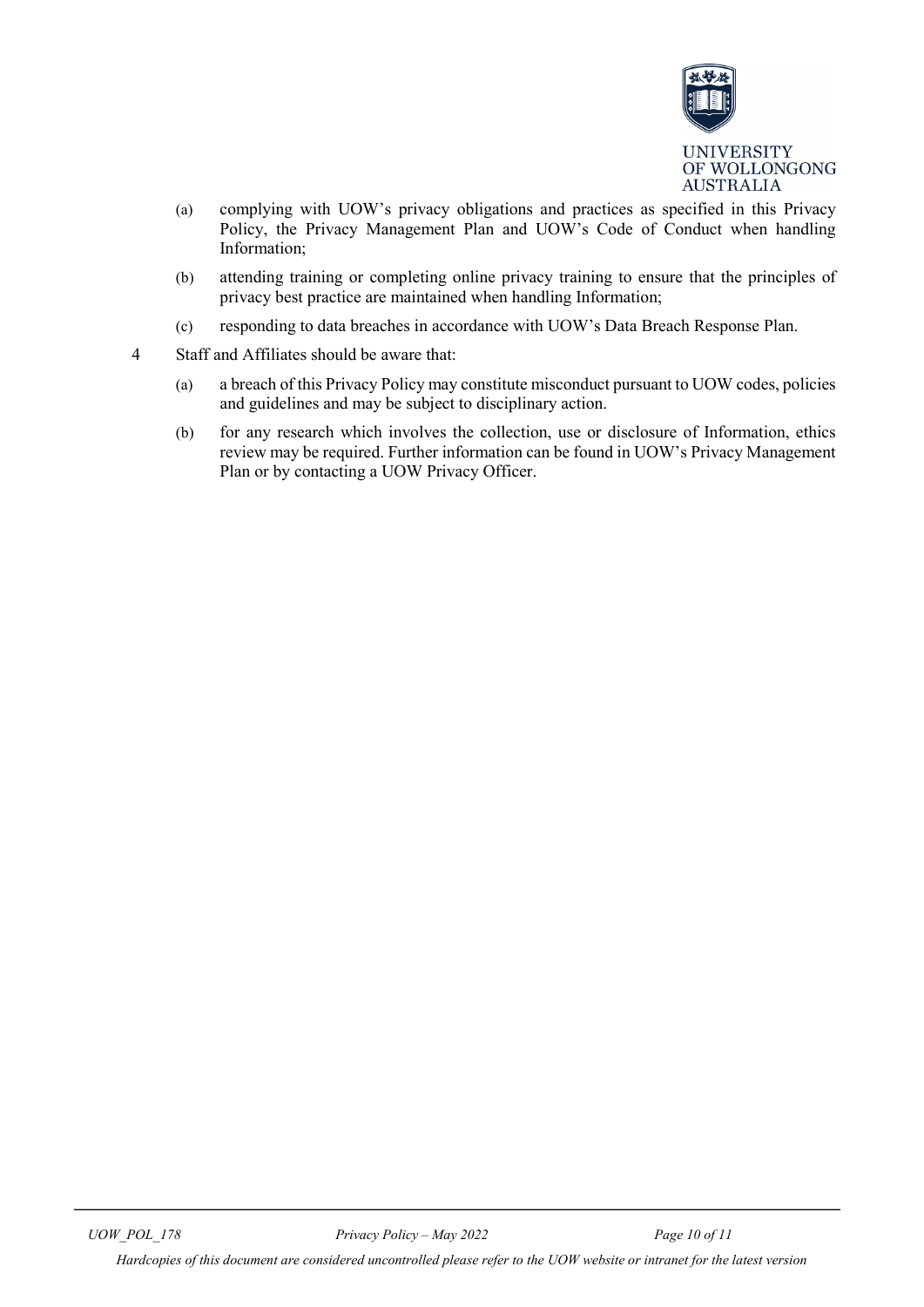

- (a) complying with UOW's privacy obligations and practices as specified in this Privacy Policy, the Privacy Management Plan and UOW's Code of Conduct when handling Information;
- (b) attending training or completing online privacy training to ensure that the principles of privacy best practice are maintained when handling Information;
- (c) responding to data breaches in accordance with UOW's Data Breach Response Plan.
- 4 Staff and Affiliates should be aware that:
	- (a) a breach of this Privacy Policy may constitute misconduct pursuant to UOW codes, policies and guidelines and may be subject to disciplinary action.
	- (b) for any research which involves the collection, use or disclosure of Information, ethics review may be required. Further information can be found in UOW's Privacy Management Plan or by contacting a UOW Privacy Officer.